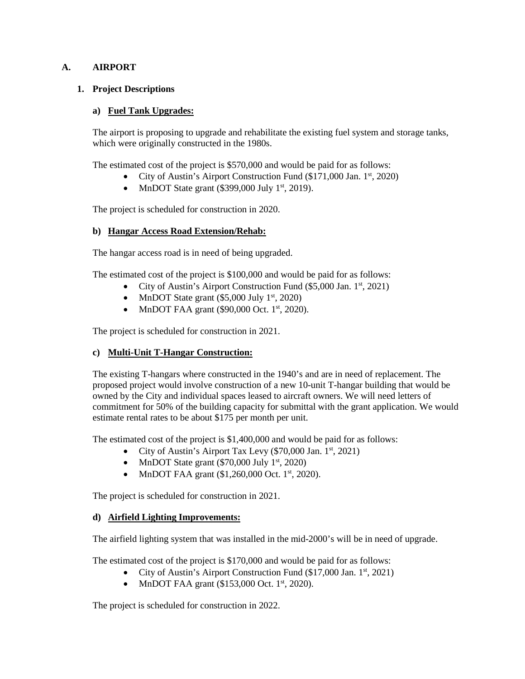## **A. AIRPORT**

## **1. Project Descriptions**

### **a) Fuel Tank Upgrades:**

The airport is proposing to upgrade and rehabilitate the existing fuel system and storage tanks, which were originally constructed in the 1980s.

The estimated cost of the project is \$570,000 and would be paid for as follows:

- City of Austin's Airport Construction Fund  $(\$171,000$  Jan.  $1<sup>st</sup>$ , 2020)
- MnDOT State grant  $(\$399,000$  July  $1<sup>st</sup>$ , 2019).

The project is scheduled for construction in 2020.

## **b) Hangar Access Road Extension/Rehab:**

The hangar access road is in need of being upgraded.

The estimated cost of the project is \$100,000 and would be paid for as follows:

- City of Austin's Airport Construction Fund (\$5,000 Jan. 1<sup>st</sup>, 2021)
- MnDOT State grant  $(\$5,000$  July  $1<sup>st</sup>$ , 2020)
- MnDOT FAA grant (\$90,000 Oct.  $1<sup>st</sup>$ , 2020).

The project is scheduled for construction in 2021.

### **c) Multi-Unit T-Hangar Construction:**

The existing T-hangars where constructed in the 1940's and are in need of replacement. The proposed project would involve construction of a new 10-unit T-hangar building that would be owned by the City and individual spaces leased to aircraft owners. We will need letters of commitment for 50% of the building capacity for submittal with the grant application. We would estimate rental rates to be about \$175 per month per unit.

The estimated cost of the project is \$1,400,000 and would be paid for as follows:

- City of Austin's Airport Tax Levy  $(\$70,000$  Jan.  $1<sup>st</sup>$ , 2021)
- MnDOT State grant  $(\$70,000$  July  $1<sup>st</sup>$ , 2020)
- MnDOT FAA grant  $(\$1,260,000$  Oct.  $1<sup>st</sup>$ , 2020).

The project is scheduled for construction in 2021.

### **d) Airfield Lighting Improvements:**

The airfield lighting system that was installed in the mid-2000's will be in need of upgrade.

The estimated cost of the project is \$170,000 and would be paid for as follows:

- City of Austin's Airport Construction Fund  $(\$17,000$  Jan.  $1<sup>st</sup>$ , 2021)
- MnDOT FAA grant  $(\$153,000$  Oct.  $1<sup>st</sup>$ , 2020).

The project is scheduled for construction in 2022.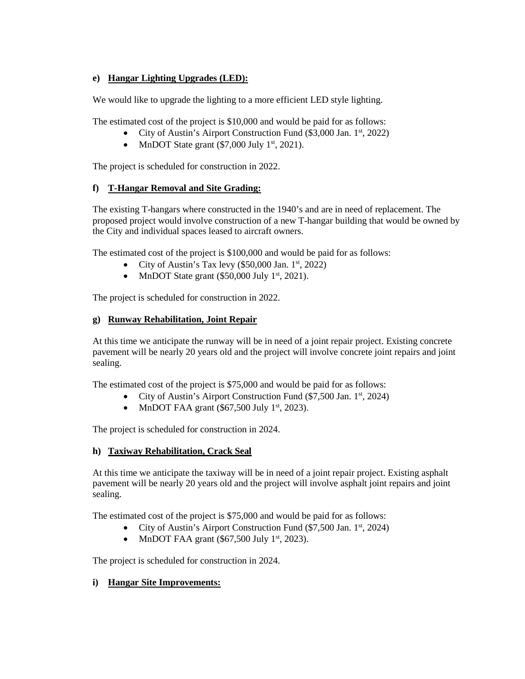# **e) Hangar Lighting Upgrades (LED):**

We would like to upgrade the lighting to a more efficient LED style lighting.

The estimated cost of the project is \$10,000 and would be paid for as follows:

- City of Austin's Airport Construction Fund  $(\$3,000$  Jan.  $1<sup>st</sup>$ , 2022)
- MnDOT State grant  $(\$7,000$  July  $1<sup>st</sup>$ , 2021).

The project is scheduled for construction in 2022.

# **f) T-Hangar Removal and Site Grading:**

The existing T-hangars where constructed in the 1940's and are in need of replacement. The proposed project would involve construction of a new T-hangar building that would be owned by the City and individual spaces leased to aircraft owners.

The estimated cost of the project is \$100,000 and would be paid for as follows:

- City of Austin's Tax levy  $(\$50,000$  Jan.  $1<sup>st</sup>$ , 2022)
- MnDOT State grant  $(\$50,000$  July  $1<sup>st</sup>$ , 2021).

The project is scheduled for construction in 2022.

## **g) Runway Rehabilitation, Joint Repair**

At this time we anticipate the runway will be in need of a joint repair project. Existing concrete pavement will be nearly 20 years old and the project will involve concrete joint repairs and joint sealing.

The estimated cost of the project is \$75,000 and would be paid for as follows:

- City of Austin's Airport Construction Fund  $(\$7,500$  Jan.  $1<sup>st</sup>, 2024)$
- MnDOT FAA grant  $(\$67,500$  July  $1<sup>st</sup>$ , 2023).

The project is scheduled for construction in 2024.

# **h) Taxiway Rehabilitation, Crack Seal**

At this time we anticipate the taxiway will be in need of a joint repair project. Existing asphalt pavement will be nearly 20 years old and the project will involve asphalt joint repairs and joint sealing.

The estimated cost of the project is \$75,000 and would be paid for as follows:

- City of Austin's Airport Construction Fund  $(\$7,500$  Jan.  $1<sup>st</sup>$ , 2024)
- MnDOT FAA grant  $(\$67,500$  July  $1<sup>st</sup>$ , 2023).

The project is scheduled for construction in 2024.

# **i) Hangar Site Improvements:**